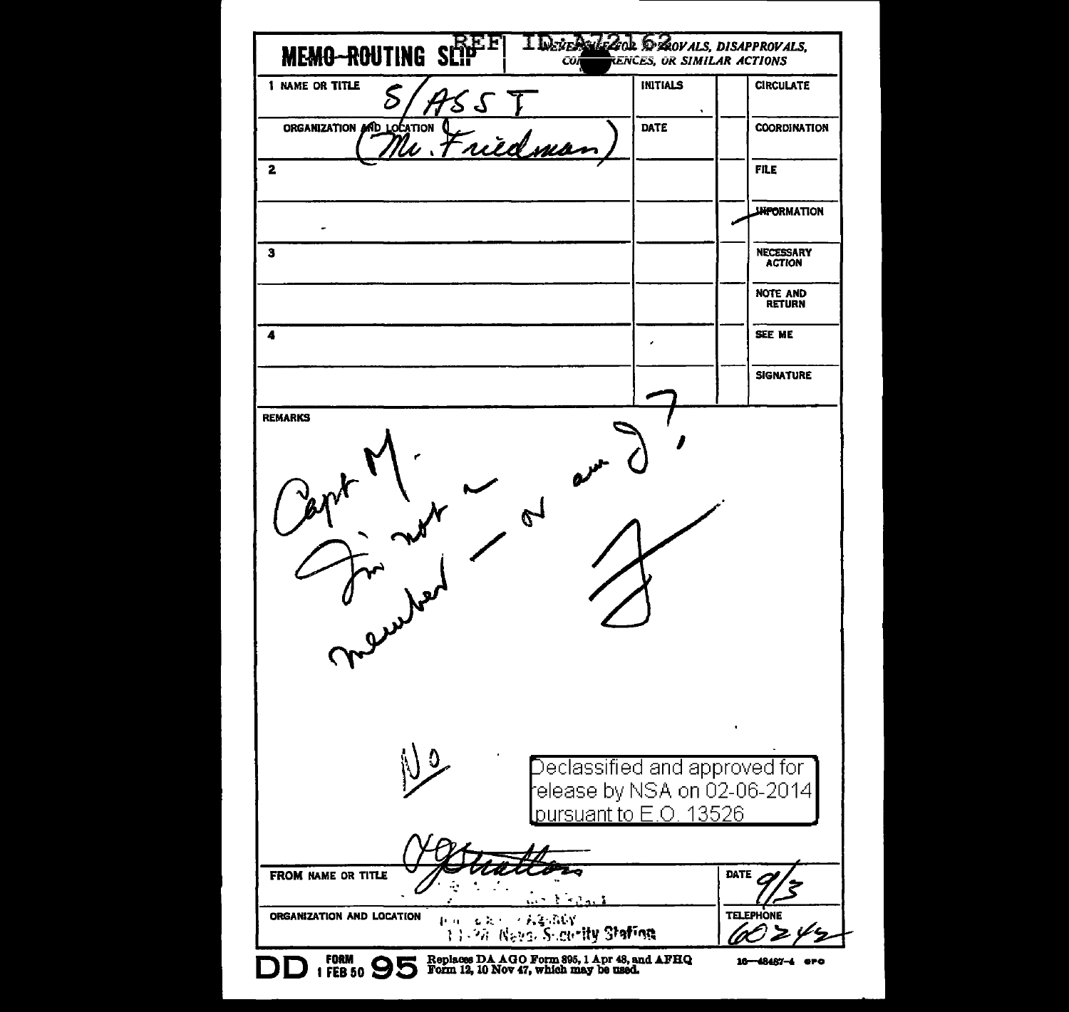| <b>MEMO-ROUTING SÚ</b>    |                | CÛÍ                                                            | RENCES, OR SIMILAR ACTIONS | <b>DEAOVALS, DISAPPROVALS,</b>    |
|---------------------------|----------------|----------------------------------------------------------------|----------------------------|-----------------------------------|
| 1 NAME OR TITLE<br>δ      | 25             | <b>INITIALS</b>                                                |                            | <b>CIRCULATE</b>                  |
| ORGANIZATION AND LOCATION | W. Friedma     | DATE                                                           |                            | <b>COORDINATION</b>               |
| 2                         |                |                                                                |                            | <b>FILE</b>                       |
|                           |                |                                                                |                            | <b>JHFORMATION</b>                |
| з                         |                |                                                                |                            | <b>NECESSARY</b><br><b>ACTION</b> |
|                           |                |                                                                |                            | <b>NOTE AND</b><br><b>RETURN</b>  |
| 4                         |                |                                                                |                            | SEE ME                            |
|                           |                |                                                                |                            | <b>SIGNATURE</b>                  |
|                           | $\mathfrak{C}$ |                                                                |                            |                                   |
| u yul                     |                |                                                                |                            |                                   |
|                           |                | Declassified and approved for l<br>elease by NSA on 02-06-2014 |                            |                                   |
|                           |                | <u>lpursuant to E.O. 13526</u>                                 |                            |                                   |
| FROM NAME OR TITLE        |                | $\mathcal{L} = \mathcal{L} \cdot \mathcal{L}$                  |                            | DATE                              |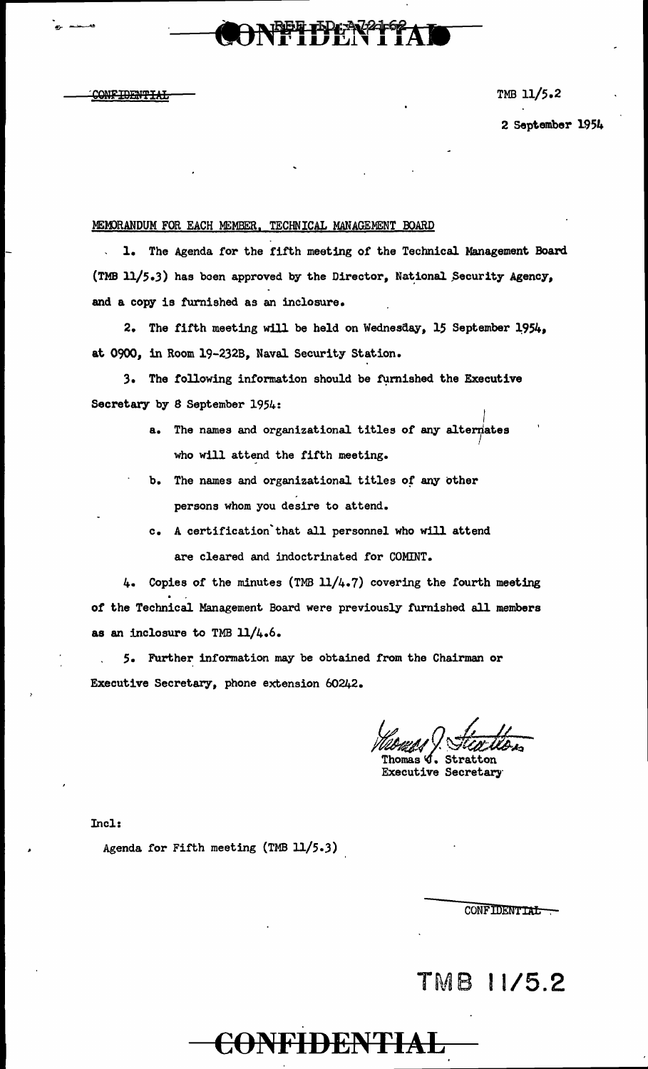**CONFIDENTIAL** 

TMB 11/5.2

2 September 1954

### MEMORANDUM FOR EACH MEMBER, TECHNICAL MANAGEMENT BOARD

1. The Agenda for the fifth meeting of the Technical. Management Board (TMB  $11/5.3$ ) has been approved by the Director, National Security Agency, and a copy is furnished as an inclosure.

**BET IPK N2162** 

2. The fifth meeting will be held on Wednesday, 15 September 1954, at 0900, in Room 19-232B, Naval. Security Station.

3. The following information should be furnished the Executive Secretary by 8 September 1954:

- $\vert$ a. The names and organizational titles of any altermates *!*  who will attend the fifth meeting.
- b. The names and organizational titles of any other persons whom you desire to attend.
- c. A certification'that all personnel who will attend are cleared and indoctrinated for COMINT.

4. Copies of the minutes (TMB  $11/4.7$ ) covering the fourth meeting of the Technical Management Board were previously furnished all members as an inclosure to TMB 11/4.6.

CONFIDENTIAL

*5.* Further information may be obtained from the Chairman or Executive Secretary, phone extension 60242.

Momes ! Steatlon

homas~ **G.** Stratton Executive Secretary

Incl:

Agenda for Fifth meeting (TMB 11/5.3)

CONFIDENTIAL

## TMB 11/5.2